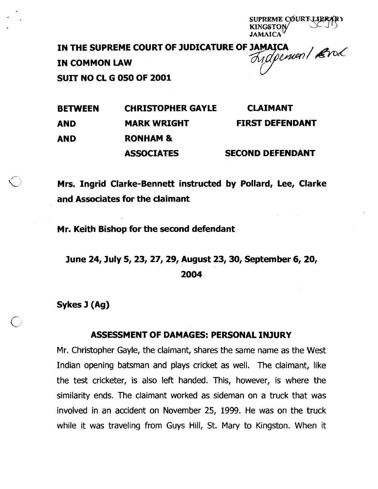eme cøurt libr

IN THE SUPREME COURT OF JUDICATURE OF JAMAICA<br>IN COMMON I AW IN COMMON LAW  $\bigcup$ 

SUIT NO CL G 050 OF 2001

BETWEEN CHRISTOPHER GAYLE CLAIMANT AND MARK WRIGHT FIRST DEFENDANT AND RONHAM & ASSOCIATES SECOND DEFENDANT

Mrs. Ingrid Clarke-Bennett instructed by Pollard, Lee, Clarke and Associates for the claimant

Mr. Keith Bishop for the second defendant

June 24, July 5, 23, 27, 29, August 23, 30, September 6, 20, 2004

Sykes J (Ag)

# ASSESSMENT OF DAMAGES: PERSONAL INJURY

Mr. Christopher Gayle, the claimant, shares the same name as the West Indian opening batsman and plays cricket as well. The claimant, like the test cricketer, is also left handed. This, however, is where the similarity ends. The claimant worked as sideman on a truck that was involved in an accident on November 25, 1999. He was on the truck while it was traveling from Guys Hill, St. Mary to Kingston. When it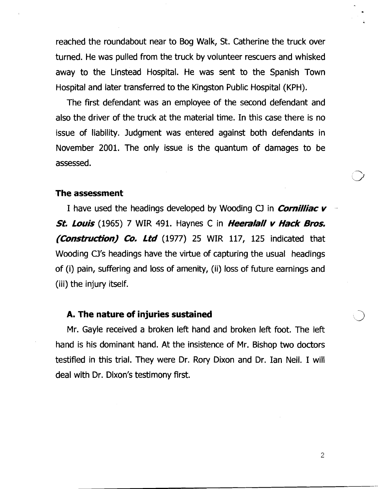reached the roundabout near to Bog Walk, St. Catherine the truck over turned. He was pulled from the truck by volunteer rescuers and whisked away to the Linstead Hospital. He was sent to the Spanish Town Hospital and later transferred to the Kingston Public Hospital (KPH).

The first defendant was an employee of the second defendant and also the driver of the truck at the material time. In this case there is no issue of liability. Judgment was entered against both defendants in November 2001. The only issue is the quantum of damages to be assessed.

#### **The assessment**

I have used the headings developed by Wooding **CJ** in **Cornilliac** v . **St. Louis** (1965) 7 WIR 491. Haynes C in **Heeralall v Hack Bros. (Construction) Co. Ltd** (1977) 25 WIR 117, 125 indicated that Wooding CJ's headings have the virtue of capturing the usual headings of (i) pain, suffering and loss of amenity, (ii) loss of future earnings and (iii) the injury itself.

#### **A. The nature of injuries sustained**

Mr. Gayle received a broken left hand and broken left foot. The left hand is his dominant hand. At the insistence of Mr. Bishop two doctors testified in this trial. They were Dr. Rory Dixon and Dr. Ian Neil. I will deal with Dr. Dixon's testimony first.

 $\overline{2}$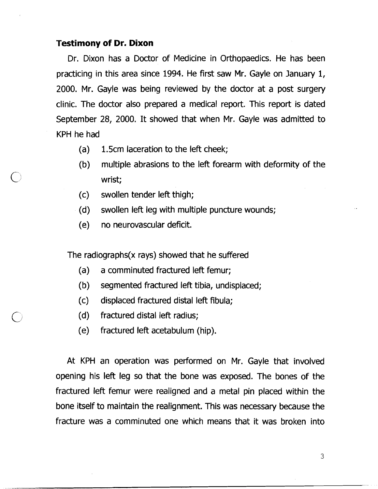## **Testimony of Dr. Dixon**

Dr. Dixon has a Doctor of Medicine in Orthopaedics. He has been practicing in this area since 1994. He first saw Mr. Gayle on January 1, 2000. Mr. Gayle was being reviewed by the doctor at a post surgery clinic. The doctor also prepared a medical report. This report is dated September 28, 2000. It showed that when Mr. Gayle was admitted to KPH he had

- (a) 1.5cm laceration to the left cheek;
- (b) multiple abrasions to the left forearm with deformity of the wrist;
- (c) swollen tender left thigh;
- (d) swollen left leg with multiple puncture wounds;
- (e) no neurovascular deficit.

The radiographs(x rays) showed that he suffered

- (a) a comminuted fractured left femur;
- (b) segmented fractured left tibia, undisplaced;
- (c) displaced fractured distal left fibula;
- (d) fractured distal left radius;
- (e) fractured left acetabulum (hip).

At KPH an operation was performed on Mr. Gayle that involved opening his left leg so that the bone was exposed. The bones of the fractured left femur were realigned and a metal pin placed within the bone itself to maintain the realignment. This was necessary because the fracture was a comminuted one which means that it was broken into

 $\overline{3}$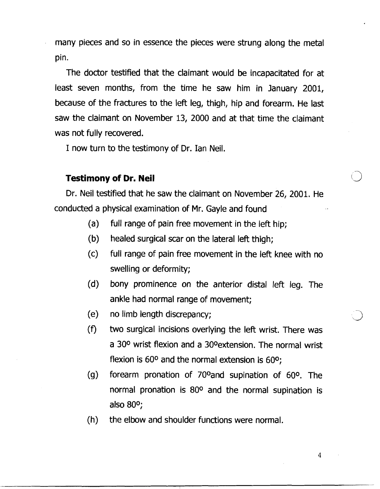many pieces and so in essence the pieces were strung along the metal pin.

The doctor testified that the claimant would be incapacitated for at least seven months, from the time he saw him in January 2001, because of the fractures to the left leg, thigh, hip and forearm. He last saw the claimant on November 13, 2000 and at that time the claimant was not fully recovered.

I now turn to the testimony of Dr. Ian Neil.

#### **Testimony of Dr. Neil**

Dr. Neil testified that he saw the claimant on November 26, 2001. He conducted a physical examination of Mr. Gayle and found

- (a) full range of pain free movement in the left hip;
- (b) healed surgical scar on the lateral left thigh;
- (c) full range of pain free movement in the left knee with no swelling or deformity;
- (d) bony prominence on the anterior distal left leg. The ankle had normal range of movement;
- (e) no limb length discrepancy; J
- (f) two surgical incisions overlying the left wrist. There was a 30° wrist flexion and a 30° extension. The normal wrist flexion is 60° and the normal extension is 600;
- (g) forearm pronation of 700and supination of 600. The normal pronation is 80° and the normal supination is also 800;
- $(h)$  the elbow and shoulder functions were normal.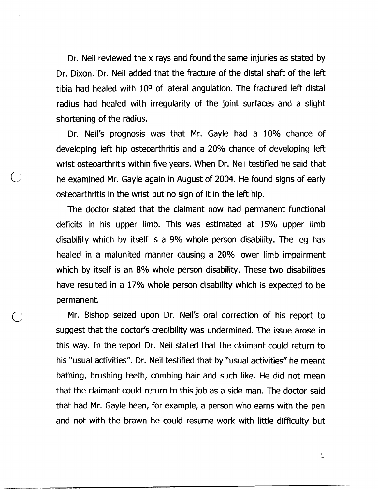Dr. Neil reviewed the x rays and found the same injuries as stated by Dr. Dixon. Dr. Neil added that the fracture of the distal shaft of the left tibia had healed with 10<sup>o</sup> of lateral angulation. The fractured left distal radius had healed with irregularity of the joint surfaces and a slight shortening of the radius.

Dr. Neil's prognosis was that Mr. Gayle had a 10% chance of developing left hip osteoarthritis and a 20% chance of developing left wrist osteoarthritis within five years. When Dr. Neil testified he said that he examined Mr. Gayle again in August of 2004. He found signs of early osteoarthritis in the wrist but no sign of it in the left hip.

The doctor stated that the claimant now had permanent functional deficits in his upper limb. This was estimated at 15% upper limb disability which by itself is a 9% whole person disability. The leg has healed in a malunited manner causing a 20% lower limb impairment which by itself is an 8% whole person disability. These two disabilities have resulted in a 17% whole person disability which is expected to be permanent.

Mr. Bishop seized upon Dr. Neil's oral correction of his report to suggest that the doctor's credibility was undermined. The issue arose in this way. In the report Dr. Neil stated that the claimant could return to his 'usual activities". Dr. Neil testified that by "usual activities" he meant bathing, brushing teeth, combing hair and such like. He did not mean that the claimant could return to this job as a side man. The doctor said that had Mr. Gayle been, for example, a person who earns with the pen and not with the brawn he could resume work with little difficulty but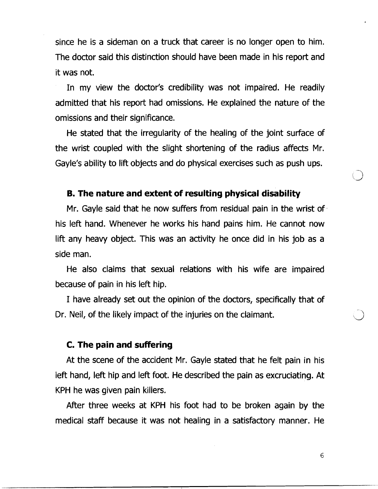since he is a sideman on a truck that career is no longer open to him. The doctor said this distinction should have been made in his report and it was not.

In my view the doctor's credibility was not impaired. He readily admitted that his report had omissions. He explained the nature of the omissions and their significance.

He stated that the irregularity of the healing of the joint surface of the wrist coupled with the slight shortening of the radius affects Mr. Gayle's ability to lift objects and do physical exercises such as push ups.

#### **B. The nature and extent of resulting physical disability**

Mr. Gayle said that he now suffers from residual pain in the wrist of his left hand. Whenever he works his hand pains him. He cannot now lift any heavy object. This was an activity he once did in his job as a side man.

He also claims that sexual relations with his wife are impaired because of pain in his left hip.

I have already set out the opinion of the doctors, specifically that of Dr. Neil, of the likely impact of the injuries on the claimant.

## **C. The pain and suffering**

At the scene of the accident Mr. Gayle stated that he felt pain in his left hand, left hip and left foot. He described the pain as excruciating. At KPH he was given pain killers.

After three weeks at KPH his foot had to be broken again by the medical staff because it was not healing in a satisfactory manner. He

6

 $\bigcirc$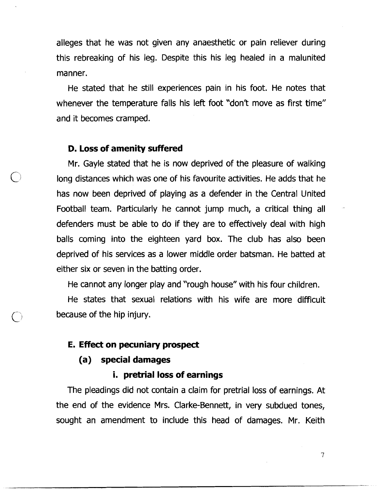alleges that he was not given any anaesthetic or pain reliever during this rebreaking of his leg. Despite this his leg healed in a malunited manner.

He stated that he still experiences pain in his foot. He notes that whenever the temperature falls his left foot "don't move as first time" and it becomes cramped.

#### **D. Loss of amenity suffered**

Mr. Gayle stated that he is now deprived of the pleasure of walking long distances which was one of his favourite activities. He adds that he has now been deprived of playing as a defender in the Central United Football team. Particularly he cannot jump much, a critical thing all defenders must be able to do if they are to effectively deal with high balls coming into the eighteen yard box. The club has also been deprived of his services as a lower middle order batsman. He batted at either six or seven in the batting order.

He cannot any longer play and "rough house" with his four children.

He states that sexual relations with his wife are more difficult because of the hip injury.

## **E. Effect on pecuniary prospect**

#### **(a) special damages**

## **i. pretrial loss of earnings**

The pleadings did not contain a claim for pretrial loss of earnings. At the end of the evidence Mrs. Clarke-Bennett, in very subdued tones, sought an amendment to include this head of damages. Mr. Keith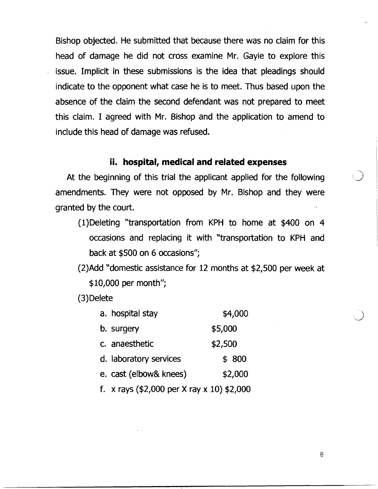Bishop objected. He submitted that because there was no claim for this head of damage he did not cross examine Mr. Gayle to explore this issue. Implicit in these submissions is the idea that pleadings should indicate to the opponent what case he is to meet. Thus based upon the absence of the claim the second defendant was not prepared to meet this claim. I agreed with Mr. Bishop and the application to amend to include this head of damage was refused.

# **ii. hospital, medical and related expenses**

At the beginning of this trial the applicant applied for the following amendments. They were not opposed by Mr. Bishop and they were granted by the court.

- (1)Deleting "transportation from KPH to home at \$400 on 4 occasions and replacing it with "transportation to KPH and back at \$500 on 6 occasions";
- (2)Add "domestic assistance for 12 months at \$2,500 per week at \$10,000 per month";

(3) Delete

| a. hospital stay       | \$4,000 |
|------------------------|---------|
| b. surgery             | \$5,000 |
| c. anaesthetic         | \$2,500 |
| d. laboratory services | \$800   |
| e. cast (elbow& knees) | \$2,000 |
|                        |         |

f. x rays (\$2,000 per X ray x 10) \$2,000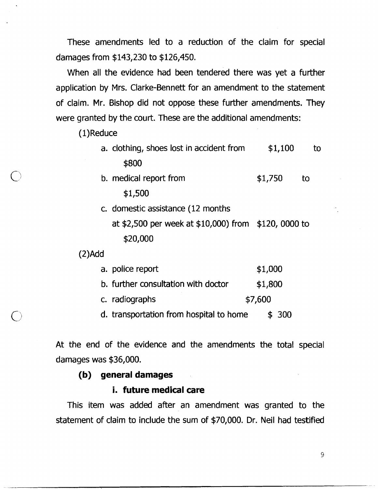These amendments led to a reduction of the claim for special damages from \$143,230 to \$126,450.

When all the evidence had been tendered there was yet a further application by Mrs. Clarke-Bennett for an amendment to the statement of claim. Mr. Bishop did not oppose these further amendments. They were granted by the court. These are the additional amendments:

(1)Reduce

- a. clothing, shoes lost in accident from \$1,100 to \$800
- b. medical report from  $$1,750$  to \$1,500
- c. domestic assistance (12 months
	- at \$2,500 per week at \$10,000) from \$120, 0000 to \$20,000

(2)Add

| a. police report | \$1,000 |
|------------------|---------|
|                  |         |

|  |  | b. further consultation with doctor |  |  | \$1,800 |
|--|--|-------------------------------------|--|--|---------|
|--|--|-------------------------------------|--|--|---------|

c. radiographs  $$7,600$ 

d. transportation from hospital to home  $\qquad$  \$ 300

At the end of the evidence and the amendments the total special damages was \$36,000.

#### **(b) general damages**

## **i. future medical care**

This item was added after an amendment was granted to the statement of claim to include the sum of \$70,000. Dr. Neil had testified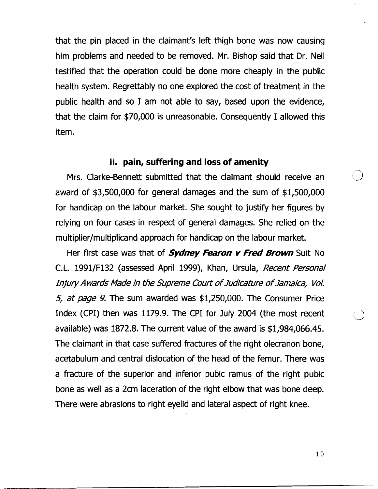that the pin placed in the claimant's left thigh bone was now causing him problems and needed to be removed. Mr. Bishop said that Dr. Neil testified that the operation could be done more cheaply in' the public health system. Regrettably no one explored the cost of treatment in the public health and so I am not able to say, based upon the evidence, that the claim for \$70,000 is unreasonable. Consequently I allowed this item.

## **ii. pain, suffering and loss of amenity**

Mrs. Clarke-Bennett submitted that the claimant should receive an award of \$3,500,000 for general damages and the sum of \$1,500,000 for handicap on the labour market. She sought to justify her figures by relying on four cases in respect of general damages. She relied on the multiplier/multiplicand approach for handicap on the labour market.

Her first case was that of **Sydney Fearon v Fred Brown** Suit No **C.** L. 1991/F132 (assessed April 1999), Khan, Ursula, Recent Personal Injury Awards Made in the Supreme Court of Judicature of Jamaica, Vol. *5,* at page 9. The sum awarded was \$1,250,000. The Consumer Price Index (CPI) then was 1179.9. The CPI for July 2004 (the most recent available) was 1872.8. The current value of the award is \$1,984,066.45. The claimant in that case suffered fractures of the right olecranon bone, acetabulum and central dislocation of the head of the femur. 'There was a fracture of the superior and inferior pubic ramus of the right pubic bone as well as a 2cm laceration of the right elbow that was bone deep. There were abrasions to right eyelid and lateral aspect of right knee.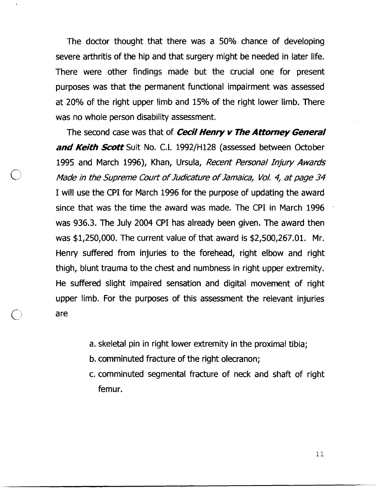The doctor thought that there was a 50% chance of developing severe arthritis of the hip and that surgery might be needed in later life. There were other findings made but the crucial one for present purposes was that the permanent functional impairment was assessed at 20% of the right upper limb and 15% of the right lower limb. There was no whole person disability assessment.

The second case was that of **Cecil Henry v The Attorney General and Keith Scott** Suit No. C.L 1992/H128 (assessed between October 1995 and March 1996), Khan, Ursula, Recent Personal Injury Awards Made in the Supreme Court of Judicature of Jmaica, **VoL** 4, at page 34 I will use the CPI for March 1996 for the purpose of updating the award since that was the time the award was made. The CPI in March 1996 . was 936.3. The July 2004 CPI has already been given. The award then was \$1,250,000. The current value of that award is \$2,500,267.01. Mr. Henry suffered from injuries to the forehead, right elbow and right thigh, blunt trauma to the chest and numbness in right upper extremity. He suffered slight impaired sensation and digital movement of right upper limb. For the purposes of this assessment the relevant injuries are

- a. skeletal pin in right lower extremity in the proximal tibia;
- b. comminuted fracture of the right olecranon;
- c. comminuted segmental fracture of neck and shaft of right femur.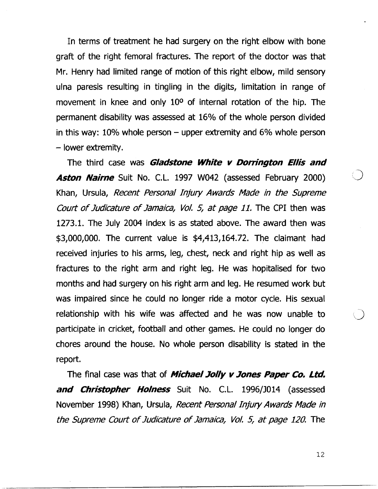In terms of treatment he had surgery on the right elbow with bone graft of the right femoral fractures. The report of the doctor was that Mr. Henry had limited range of motion of this right elbow, mild sensory ulna paresis resulting in tingling in the digits, limitation in range of movement in knee and only 10<sup>o</sup> of internal rotation of the hip. The permanent disability was assessed at 16% of the whole person divided in this way:  $10\%$  whole person – upper extremity and  $6\%$  whole person - lower extremity.

The third case was **Gladstone White** v **Dorrington Ellis and Aston Nairne** Suit No. C.L. 1997 W042 (assessed February 2000) Khan, Ursula, Recent Personal Injury Awards Made in the Supreme Court of Judicature of Jamaica, Vol. 5, at page 11. The CPI then was 1273.1. 'The July 2004 index is as stated above. The award then was \$3,000,000. The current value is \$4,413,164.72. The claimant had received injuries to his arms, leg, chest, neck and right hip as well as fractures to the right arni and right leg. He was hopitalised for two months and had surgery on his right arm and leg. He resumed work but was impaired since he could no longer ride a motor cycle. His sexual relationship with his wife was affected and he was now unable to participate in cricket, football and other games. He could no longer do chores around the house. No whole person disability is stated in the report.

The final case was that of **Michael Jolly v Jones Paper Co. Ltd.** and Christopher Holness Suit No. C.L. 1996/J014 (assessed November 1998) Khan, Ursula, Recent Personal Injury Awards Made in the Supreme Court of Judicature of Jamaica, Vol. 5, at page 120. The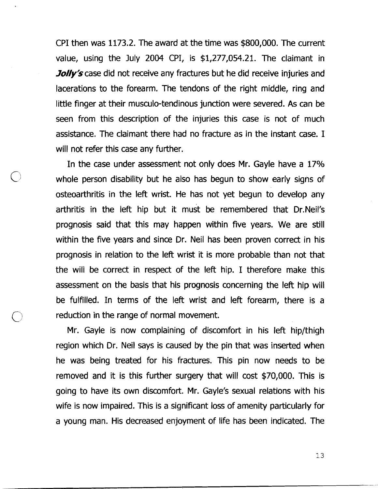CPI then was 1173.2. The award at the time was \$800,000. 'The current value, using the July 2004 CPI, is \$1,277,054.21. The claimant in **Jolly's** case did not receive any fractures but he did receive injuries and lacerations to the forearm. The tendons of the right middle, ring and little finger at their musculo-tendinous junction were severed. As can be seen from this description of the injuries this case is not of much assistance. The claimant there had no fracture as in the instant case. I will not refer this case any further.

In the case under assessment not only does Mr. Gayle have a 17% whole person disability but he also has begun to show early signs of osteoarthritis in the left wrist. He has not yet begun to develop any arthritis in the left hip but it must be remembered that Dr.Neil's prognosis said that this may happen within five years. We are still within the five years and since Dr. Neil has been proven correct in his prognosis in relation to the left wrist it is more probable than not that the will be correct in respect of the left hip. I therefore make this assessment on the basis that his prognosis concerning the left hip will be fulfilled. In terms of the left wrist and left forearm, there is a reduction in the range of normal movement.

Mr. Gayle is now complaining of discomfort in his left hip/thigh region which Dr. Neil says is caused by the pin that was inserted when he was being treated for his fractures. This pin now needs to be removed and it is this further surgery that will cost \$70,000. This is going to have its own discomfort. Mr. Gayle's sexual relations with his wife is now impaired. This is a significant loss of amenity particularly for a young man. His decreased enjoyment of life has been indicated. The

.-..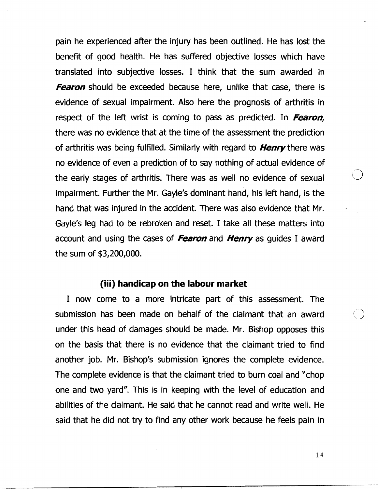pain he experienced after the injury has been outlined. He has lost the benefit of good health. He has suffered objective losses which have translated into subjective losses. I think that the sum awarded in **Fearon** should be exceeded because here, unlike that case, there is evidence of sexual impairment. Also here the prognosis of arthritis in respect of the left wrist is coming to pass as predicted. In Fearon, there was no evidence that at the time of the assessment the prediction of arthritis was being fulfilled. Similarly with regard to **Henry** there was no evidence of even a prediction of to say nothing of actual evidence of the early stages of arthritis. There was as well no evidence of sexual impairment. Further the Mr. Gayle's dominant hand, his left hand, is the hand that was injured in the accident. There was also evidence that Mr. Gayle's leg had to be rebroken and reset. I take all these matters into account and using the cases of Fearon and Henry as quides I award the sum of \$3,200,000.

#### **(iii) handicap on the labour market**

I now come to a more intricate part of this assessment. The submission has been made on behalf of the claimant that an award under this head of damages should be made. Mr. Bishop opposes this on the basis that there is no evidence that the claimant tried to find another job. Mr. Bishop's submission ignores the complete evidence. The complete evidence is that the claimant tried to burn coal and "chop one and two yard". This is in keeping with the level of education and abilities of the claimant. He said that he cannot read and write well. He said that he did not try to find any other work because he feels pain in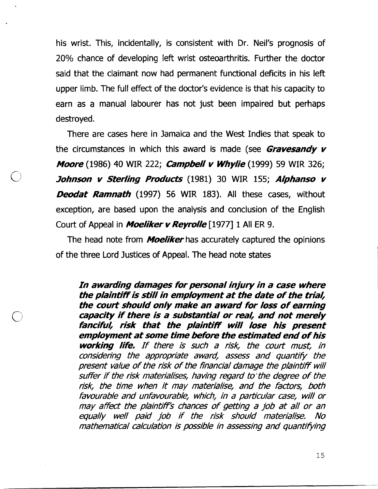his wrist. This, incidentally, is consistent with Dr. Neil's prognosis of **20%** chance of developing left wrist osteoarthritis. Further the doctor said that the claimant now had permanent functional deficits in his left upper limb. The full effect of the doctor's evidence is that his capacity to earn as a manual labourer has not just been impaired but perhaps destroyed.

There are cases here in Jamaica and the West Indies that speak to the circumstances in which this award is made (see **Gravesandy v** Moore **(1986)** 40 WIR **222;** &mp&el/ v Whylie **(1999) 59** WIR **326;**  Johnson v Sterling Products **(1981) 30** WIR **155;** Alphanso v **Deodat Ramnath** (1997) 56 WIR 183). All these cases, without exception, are based upon the analysis and conclusion of the English Court of Appeal in **Moeliker v Revrolle** [1977] 1 All ER 9.

The head note from **Moeliker** has accurately captured the opinions of the three Lord Justices of Appeal. The head note states

In awarding damages for personal injury in a case where the plaintiff is still in employment at the date of the trial, the court should only make an award for loss of earning capacity if there is a substantial or real, and not merely fancifuh risk that the plaintiff will lose his present employment at some time before the estimated end of his working life. If there is such a risk, the court must, in considering the appropriate award, assess and quantify the present value of the risk of the financial damage the plaintiff will suffer if the risk materialises, having regard to'the degree of the risk, the time when it may materialise, and the factors, both favourable and unfavourable, which, in a particular case, will or may affect the plaintiff's chances of getting a job at all or an equally well paid job if the risk should materialise. No mathematical calculation is possible in assessing and quantifying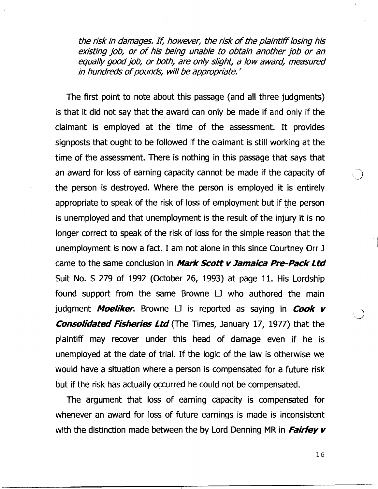the risk in damages. *I<* however, the risk of the plaintifllosing his existing job, or of his being unable to obtain another job or an equally good job, or both, are only slight, a low award, measured in hundreds of pounds, will be appropriate. '

The first point to note about this passage (and all three judgments) is that it did not say that the award can only be made if and only if the claimant is employed at the time of the assessment. It provides signposts that ought to be followed if the claimant is still working at the time of the assessment. There is nothing in this passage that says that an award for loss of earning capacity cannot be made if the capacity of the person is destroyed. Where the person is employed it is entirely appropriate to speak of the risk of loss of employment but if the person is unemployed and that unemployment is the result of the injury it is no longer correct to speak of the risk of loss for the simple reason that the unemployment is now a fact. I am not alone in this since Courtney Orr J came to the same conclusion in *Mark Scott v Jamaica Pre-Pack Ltd* Suit No. **S** 279 of 1992 (October 26, 1993) at page 11. His Lordship found support from the same Browne U who authored the main judgment **Moeliker**. Browne LJ is reported as saying in **Cook v**<br>**Consolidated Fisheries Ltd** (The Times, January 17, 1977) that the plaintiff may recover under this head of damage even if he is unemployed at the date of trial. If the logic of the law is otherwise we would have a situation where a person is compensated for a future risk but if the risk has actually occurred he could not be compensated.

The argument that loss of earning capacity is compensated for whenever an award for loss of future earnings is made is inconsistent with the distinction made between the by Lord Denning MR in **Fairley v**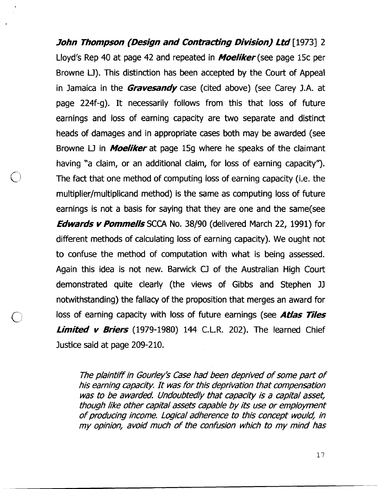**John Thompson (Design and Contracting Division) Ltd** [1973] 2 Lloyd's Rep 40 at page 42 and repeated in **Moeliker** (see page 15c per Browne LJ). This distinction has been accepted by the Court of Appeal in Jamaica in the **Gravesandy** case (cited above) (see Carey J.A. at page 224f-g). It necessarily follows from this that loss of future earnings and loss of earning capacity are two separate and distinct heads of damages and in appropriate cases both may be awarded (see Browne U in **Moeliker** at page 159 where he speaks of the claimant having "a claim, or an additional claim, for loss of earning capacity"). The fact that one method of computing loss of earning capacity (i.e. the multiplier/multiplicand method) is the same as computing loss of future earnings is not a basis for saying that they are one and the same(see **Edwards v Pommells SCCA** No. 38/90 (delivered March 22, 1991) for different methods of calculating loss of earning capacity). We ought not to confuse the method of computation with what is being assessed. Again this idea is not new. Barwick CJ of the Australian High Court demonstrated quite clearly (the views of Gibbs and Stephen JJ notwithstanding) the fallacy of the proposition that merges an award for loss of earning capacity with loss of future earnings (see **Atlas Tiles Limited v Briers** (1979-1980) 144 C.L.R. 202). The learned Chief Justice said at page 209-210.

The plaintiff in Gourley's Case had been deprived of some part of his earning capacity. It was for this deprivation that compensation was to be awarded. Undoubtedly that capacity is a capital asset, though like other capital assets capable by its use or employment of producing income. Logical adherence to this concept would, in my opinion, avoid much of the confusion which to my mind has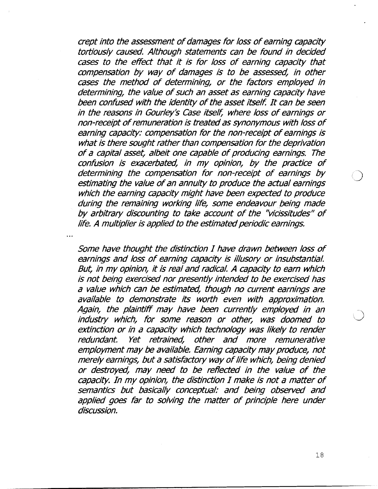crept into the assessment of damages for loss of earning capacity tortiously caused. Although statements can be found in decided cases to the effect that it is for loss of earning capacity that compensation by way of damages is to be assessed, in other cases the method of determining, or the factors employed in determining, the value of such an asset as earning capacity have been confused with the identity of the asset itself. It can be seen in the reasons in Gourley's Case itself, where loss of earnings or non-receipt of remuneration is treated as synonymous with loss of earning capacity: compensation for the non-receipt of earnings is what is there sought rather than compensation for the deprivation of a capital asset, albeit one capable of producing earnings. The confusion is exacerbated, in my opinion, by the practice of determining the compensation for non-receipt of earnings by estimating the value of an annuity to produce the actual earnings which the earning capacity might have been expected to produce during the remaining working life, some endeavour being made by arbitrary discounting to take account of the "vicissitudes" of life. A multiplier is applied to the estimated periodic earnings.

Some have thought the distinction I have drawn between loss of earnings and loss of earning capacity is illusory or insubstantial. But, in my opinion, it is real and radical. A capacity to earn which is not being exercised nor presently intended to be exercised has a value which can be estimated, though no current earnings are available to demonstrate its worth even with approximation. Again, the plaintiff may have been currently employed in an industry which, for some reason or other, was doomed to extinction or in a capacity which technology was likely to render redundant. Yet retrained, other and more remunerative employment may **be** available. Earning capacity may produce, not merely earnings, but a satisfactory way of life which, being denied or destroyed, may need to be reflected in the value of the capacity. In my opinion, the distinction I make is not a matter of semantics but basically conceptual: and being observed and applied goes far to solving the matter of principle here under discussion.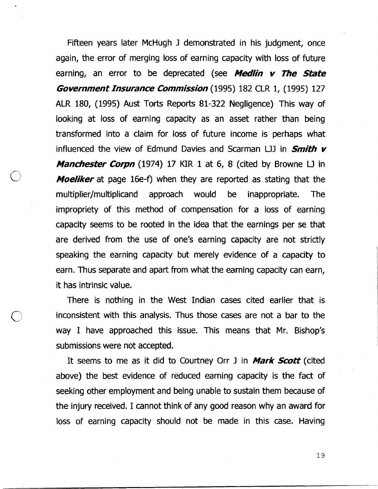Fifteen years later McHugh J demonstrated in his judgment, once again, the error of merging loss of earning capacity with loss of future earning, an error to be deprecated (see **Medlin** v **The State Government Insurance Commission** (1995) 182 CLR 1, (1995) 127 ALR 180, (1995) Aust Torts Reports 81-322 Negligence) This way of looking at loss of earning capacity as an asset rather than being transformed into a claim for loss of future income is perhaps what influenced the view of Edmund Davies and Scarman **UJ** in **Smith v Manchester Corpn** (1974) 17 KIR 1 at 6, 8 (cited by Browne LJ in **Moeliker** at page 16e-f) when they are reported as stating that the multiplier/multiplicand approach would be inappropriate. The impropriety of this method of compensation for a loss of earning capacity seems to be rooted in the idea that the earnings per se that are derived from the use of one's earning capacity are not strictly speaking the earning capacity but merely evidence of a capacity to earn. Thus separate and apart from what the earning capacity can earn, it has intrinsic value.

There is nothing in the West Indian cases cited earlier that is inconsistent with this analysis. Thus those cases are not a bar to the way I have approached this issue. This means that Mr. Bishop's submissions were not accepted.

It seems to me as it did to Courtney Orr J in **Mark Scott** (cited above) the best evidence of reduced earning capacity is the fact of seeking other employment and being unable to sustain them because of the injury received. I cannot think of any good reason why an award for loss of earning capacity should not be made in this case. Having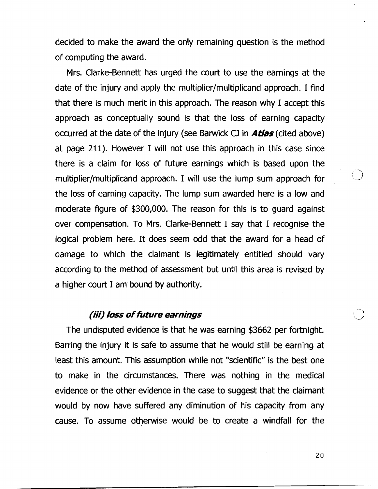decided to make the award the only remaining question is the method of computing the award.

Mrs. Clarke-Bennett has urged the court to use the earnings at the date of the injury and apply the multiplier/multiplicand approach. I find that there is much merit in this approach. The reason why I accept this approach as conceptually sound is that the loss of earning capacity occurred at the date of the injury (see Barwick **CJ** in **Atlas** (cited above) at page 211). However I will not use this approach in this case since there is a claim for loss of future earnings which is based upon the multiplier/multiplicand approach. I will use the lump sum approach for 3 the loss of earning capacity. The lump sum awarded here is a low and moderate figure of **\$300,000.** The reason for this is to guard against over compensation. To Mrs. Clarke-Bennett I say that I recognise the logical problem here. It does seem odd that the award for a head of damage to which the claimant is legitimately entitled should vary according to the method of assessment but until this area is revised by a higher court I am bound by authority.

## **(iii) /oss of future earnings**

The undisputed evidence is that he was earning **\$3662** per fortnight. Barring the injury it is safe to assume that he would still be earning at least this amount. This assumption while not "scientific" is the best one to make in the circumstances. There was nothing in the medical evidence or the other evidence in the case to suggest that the claimant would by now have suffered any diminution of his capacity from any cause. To assume otherwise would be to create a windfall for the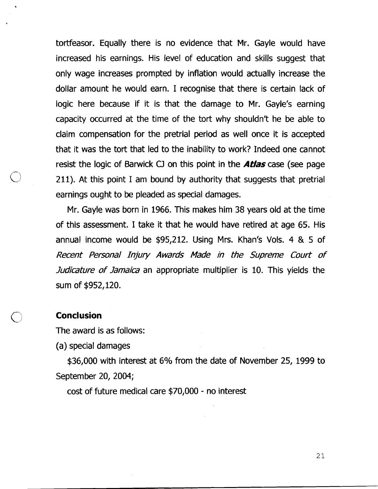tortfeasor. Equally there is no evidence that Mr. Gayle would have increased his earnings. His level of education and skills suggest that only wage increases prompted by inflation would actually increase the dollar amount he would earn. I recognise that there is certain lack of logic here because if it is that the damage to Mr. Gayle's earning capacity occurred at the time of the tort why shouldn't he be able to claim compensation for the pretrial period as well once it is accepted that it was the tort that led to the inability to work? Indeed one cannot resist the logic of Barwick CJ on this point in the **Atlas** case (see page 211). At this point I am bound by authority that suggests that pretrial earnings ought to be pleaded as special damages.

Mr. Gayle was born in 1966. This makes him 38 years old at the time of this assessment. I take it that he would have retired at age 65. His annual income would be \$95,212. Using Mrs. Khan's Vols. 4 & 5 of **Recent Personal Injury Awards Made in the Supreme Court of Micature of Jamaica** an appropriate multiplier is 10. This yields the sum of \$952,120.

#### **Conclusion**

The award is as follows:

(a) special damages

\$36,000 with interest at 6% from the date of November 25, 1999 to September 20, 2004;

cost of future medical care \$70,000 - no interest